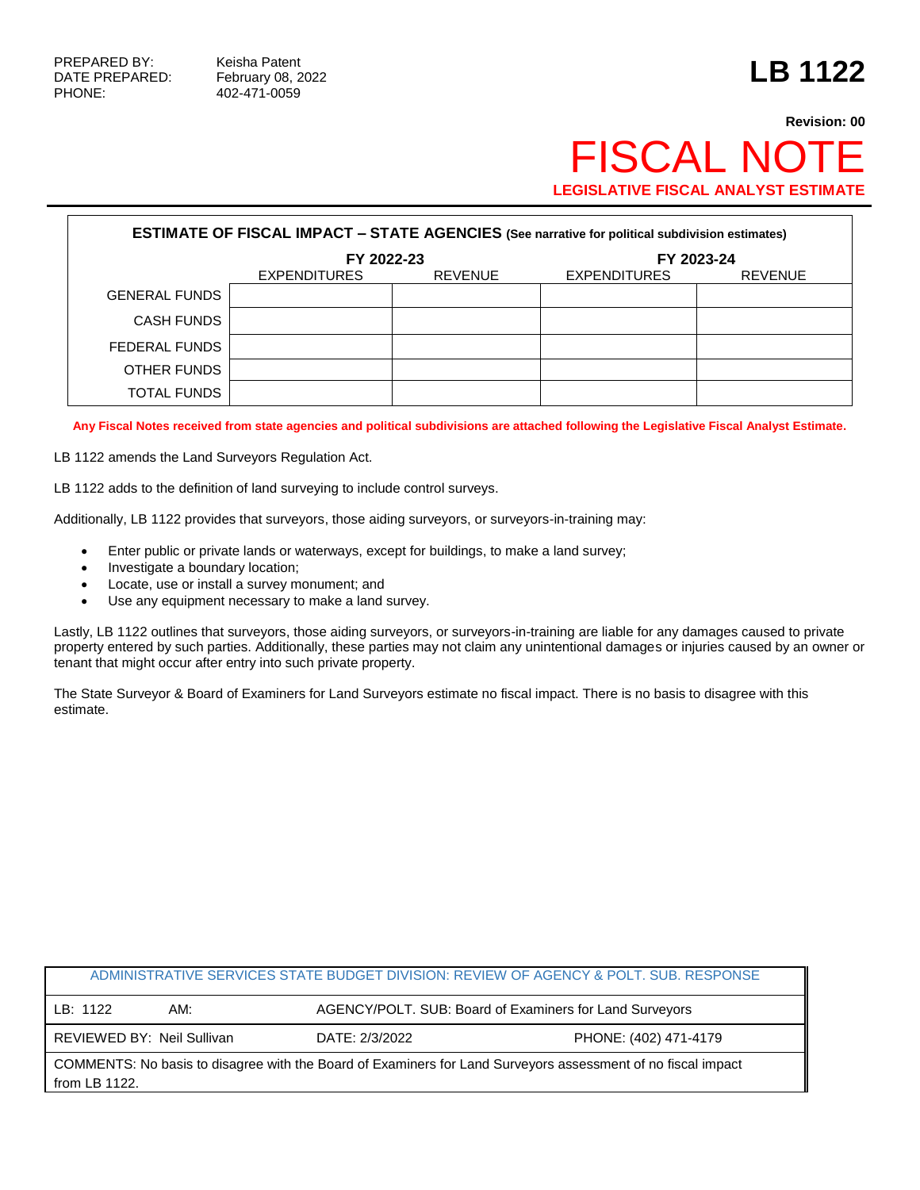PHONE: 402-471-0059

## **Revision: 00 FISCAL NOT LEGISLATIVE FISCAL ANALYST ESTIMATE**

| <b>ESTIMATE OF FISCAL IMPACT - STATE AGENCIES (See narrative for political subdivision estimates)</b> |                     |                |                     |                |  |
|-------------------------------------------------------------------------------------------------------|---------------------|----------------|---------------------|----------------|--|
|                                                                                                       | FY 2022-23          |                | FY 2023-24          |                |  |
|                                                                                                       | <b>EXPENDITURES</b> | <b>REVENUE</b> | <b>EXPENDITURES</b> | <b>REVENUE</b> |  |
| <b>GENERAL FUNDS</b>                                                                                  |                     |                |                     |                |  |
| CASH FUNDS                                                                                            |                     |                |                     |                |  |
| FEDERAL FUNDS                                                                                         |                     |                |                     |                |  |
| OTHER FUNDS                                                                                           |                     |                |                     |                |  |
| TOTAL FUNDS                                                                                           |                     |                |                     |                |  |

**Any Fiscal Notes received from state agencies and political subdivisions are attached following the Legislative Fiscal Analyst Estimate.**

LB 1122 amends the Land Surveyors Regulation Act.

LB 1122 adds to the definition of land surveying to include control surveys.

Additionally, LB 1122 provides that surveyors, those aiding surveyors, or surveyors-in-training may:

- Enter public or private lands or waterways, except for buildings, to make a land survey;
- Investigate a boundary location;
- Locate, use or install a survey monument; and
- Use any equipment necessary to make a land survey.

Lastly, LB 1122 outlines that surveyors, those aiding surveyors, or surveyors-in-training are liable for any damages caused to private property entered by such parties. Additionally, these parties may not claim any unintentional damages or injuries caused by an owner or tenant that might occur after entry into such private property.

The State Surveyor & Board of Examiners for Land Surveyors estimate no fiscal impact. There is no basis to disagree with this estimate.

| ADMINISTRATIVE SERVICES STATE BUDGET DIVISION: REVIEW OF AGENCY & POLT. SUB. RESPONSE                                         |                            |                |                                                         |  |
|-------------------------------------------------------------------------------------------------------------------------------|----------------------------|----------------|---------------------------------------------------------|--|
| LB: 1122                                                                                                                      | AM:                        |                | AGENCY/POLT. SUB: Board of Examiners for Land Surveyors |  |
|                                                                                                                               | REVIEWED BY: Neil Sullivan | DATE: 2/3/2022 | PHONE: (402) 471-4179                                   |  |
| COMMENTS: No basis to disagree with the Board of Examiners for Land Surveyors assessment of no fiscal impact<br>from LB 1122. |                            |                |                                                         |  |